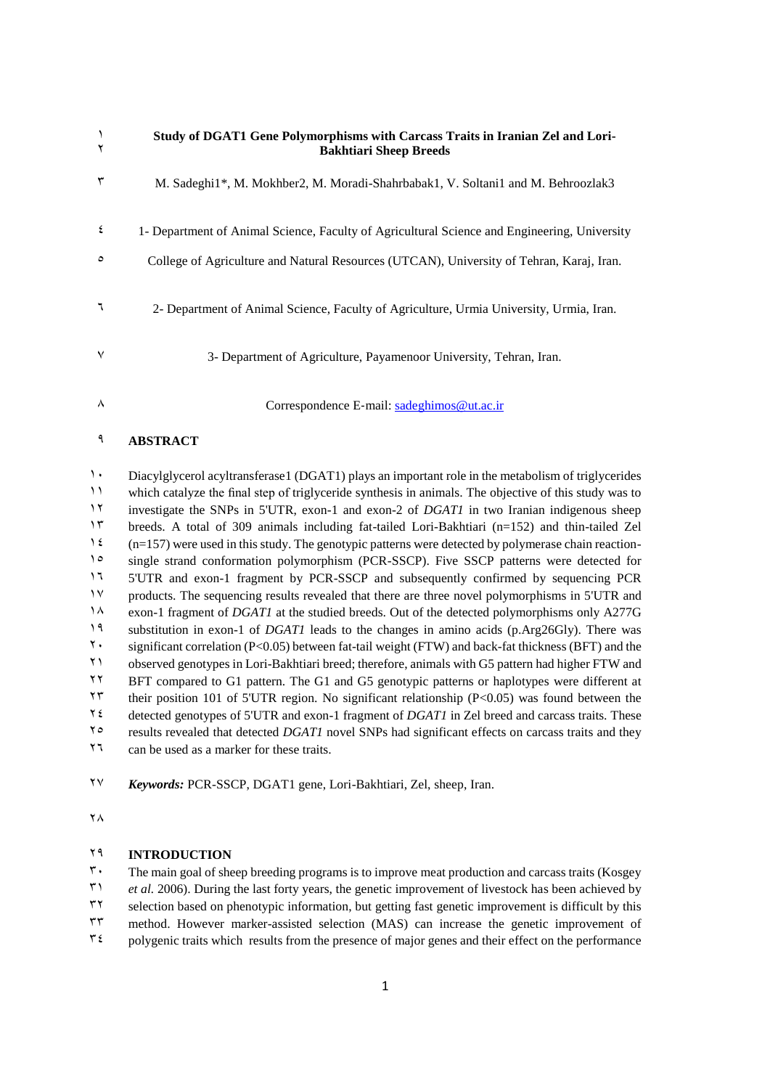|   | Study of DGAT1 Gene Polymorphisms with Carcass Traits in Iranian Zel and Lori-<br><b>Bakhtiari Sheep Breeds</b> |  |  |  |  |  |
|---|-----------------------------------------------------------------------------------------------------------------|--|--|--|--|--|
|   | M. Sadeghi1*, M. Mokhber2, M. Moradi-Shahrbabak1, V. Soltani1 and M. Behroozlak3                                |  |  |  |  |  |
| ٤ | 1- Department of Animal Science, Faculty of Agricultural Science and Engineering, University                    |  |  |  |  |  |
| ٥ | College of Agriculture and Natural Resources (UTCAN), University of Tehran, Karaj, Iran.                        |  |  |  |  |  |
|   | 2- Department of Animal Science, Faculty of Agriculture, Urmia University, Urmia, Iran.                         |  |  |  |  |  |
| ٧ | 3- Department of Agriculture, Payamenoor University, Tehran, Iran.                                              |  |  |  |  |  |
| ۸ | Correspondence E-mail: sadeghimos $@$ ut.ac.ir                                                                  |  |  |  |  |  |

#### **ABSTRACT**

1. Diacylglycerol acyltransferase1 (DGAT1) plays an important role in the metabolism of triglycerides which catalyze the final step of triglyceride synthesis in animals. The objective of this study was to investigate the SNPs in 5'UTR, exon-1 and exon-2 of *DGAT1* in two Iranian indigenous sheep breeds. A total of 309 animals including fat-tailed Lori-Bakhtiari (n=152) and thin-tailed Zel (n=157) were used in this study. The genotypic patterns were detected by polymerase chain reaction-1<sup>o</sup> single strand conformation polymorphism (PCR-SSCP). Five SSCP patterns were detected for 5'UTR and exon-1 fragment by PCR-SSCP and subsequently confirmed by sequencing PCR products. The sequencing results revealed that there are three novel polymorphisms in 5'UTR and exon-1 fragment of *DGAT1* at the studied breeds. Out of the detected polymorphisms only A277G substitution in exon-1 of *DGAT1* leads to the changes in amino acids (p.Arg26Gly). There was significant correlation (P<0.05) between fat-tail weight (FTW) and back-fat thickness (BFT) and the observed genotypes in Lori-Bakhtiari breed; therefore, animals with G5 pattern had higher FTW and BFT compared to G1 pattern. The G1 and G5 genotypic patterns or haplotypes were different at <sup> $\Upsilon\Upsilon$ </sup> their position 101 of 5'UTR region. No significant relationship (P<0.05) was found between the detected genotypes of 5'UTR and exon-1 fragment of *DGAT1* in Zel breed and carcass traits. These results revealed that detected *DGAT1* novel SNPs had significant effects on carcass traits and they can be used as a marker for these traits.

*Keywords:* PCR-SSCP, DGAT1 gene, Lori-Bakhtiari, Zel, sheep, Iran.

 $\mathsf{Y} \wedge$ 

#### **INTRODUCTION**

 $\mathbf{r}$ . The main goal of sheep breeding programs is to improve meat production and carcass traits (Kosgey *et al.* 2006). During the last forty years, the genetic improvement of livestock has been achieved by selection based on phenotypic information, but getting fast genetic improvement is difficult by this method. However marker-assisted selection (MAS) can increase the genetic improvement of polygenic traits which results from the presence of major genes and their effect on the performance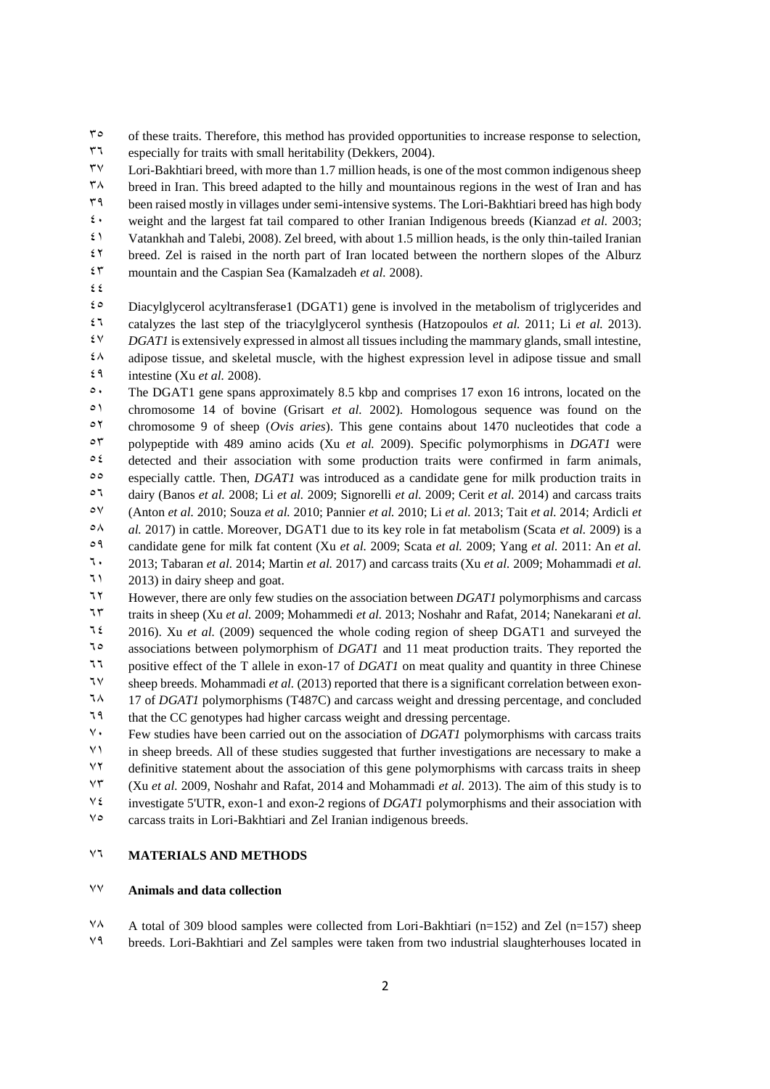$5^{\circ}$  of these traits. Therefore, this method has provided opportunities to increase response to selection,

especially for traits with small heritability (Dekkers, 2004).

 $\mu$ <sup>37</sup> Lori-Bakhtiari breed, with more than 1.7 million heads, is one of the most common indigenous sheep

 $\mu$ <sup>8</sup> breed in Iran. This breed adapted to the hilly and mountainous regions in the west of Iran and has

been raised mostly in villages under semi-intensive systems. The Lori-Bakhtiari breed has high body

 $\epsilon$  weight and the largest fat tail compared to other Iranian Indigenous breeds (Kianzad *et al.* 2003;

 Vatankhah and Talebi, 2008). Zel breed, with about 1.5 million heads, is the only thin-tailed Iranian breed. Zel is raised in the north part of Iran located between the northern slopes of the Alburz

mountain and the Caspian Sea (Kamalzadeh *et al.* 2008).

 $\epsilon$ 

 $\epsilon$ <sup>o</sup> Diacylglycerol acyltransferase1 (DGAT1) gene is involved in the metabolism of triglycerides and catalyzes the last step of the triacylglycerol synthesis (Hatzopoulos *et al.* 2011; Li *et al.* 2013). *DGAT1* is extensively expressed in almost all tissues including the mammary glands, small intestine,  $\lambda$  adipose tissue, and skeletal muscle, with the highest expression level in adipose tissue and small

 $\mathfrak{e}$ <sup>4</sup> intestine (Xu *et al.* 2008).

 $\degree$  The DGAT1 gene spans approximately 8.5 kbp and comprises 17 exon 16 introns, located on the chromosome 14 of bovine (Grisart *et al.* 2002). Homologous sequence was found on the chromosome 9 of sheep (*Ovis aries*). This gene contains about 1470 nucleotides that code a polypeptide with 489 amino acids (Xu *et al.* 2009). Specific polymorphisms in *DGAT1* were  $\circ$  t detected and their association with some production traits were confirmed in farm animals, especially cattle. Then, *DGAT1* was introduced as a candidate gene for milk production traits in dairy (Banos *et al.* 2008; Li *et al.* 2009; Signorelli *et al.* 2009; Cerit *et al.* 2014) and carcass traits (Anton *et al.* 2010; Souza *et al.* 2010; Pannier *et al.* 2010; Li *et al.* 2013; Tait *et al.* 2014; Ardicli *et al.* 2017) in cattle. Moreover, DGAT1 due to its key role in fat metabolism (Scata *et al.* 2009) is a candidate gene for milk fat content (Xu *et al.* 2009; Scata *et al.* 2009; Yang *et al.* 2011: An *et al.* 2013; Tabaran *et al.* 2014; Martin *et al.* 2017) and carcass traits (Xu *et al.* 2009; Mohammadi *et al.*

 $\sqrt{1}$  2013) in dairy sheep and goat.

However, there are only few studies on the association between *DGAT1* polymorphisms and carcass

traits in sheep (Xu *et al.* 2009; Mohammedi *et al.* 2013; Noshahr and Rafat, 2014; Nanekarani *et al.*

 2016). Xu *et al.* (2009) sequenced the whole coding region of sheep DGAT1 and surveyed the associations between polymorphism of *DGAT1* and 11 meat production traits. They reported the

positive effect of the T allele in exon-17 of *DGAT1* on meat quality and quantity in three Chinese

sheep breeds. Mohammadi *et al.* (2013) reported that there is a significant correlation between exon-

17 of *DGAT1* polymorphisms (T487C) and carcass weight and dressing percentage, and concluded

that the CC genotypes had higher carcass weight and dressing percentage.

 Few studies have been carried out on the association of *DGAT1* polymorphisms with carcass traits in sheep breeds. All of these studies suggested that further investigations are necessary to make a definitive statement about the association of this gene polymorphisms with carcass traits in sheep (Xu *et al.* 2009, Noshahr and Rafat, 2014 and Mohammadi *et al.* 2013). The aim of this study is to investigate 5'UTR, exon-1 and exon-2 regions of *DGAT1* polymorphisms and their association with

carcass traits in Lori-Bakhtiari and Zel Iranian indigenous breeds.

# **MATERIALS AND METHODS**

# **Animals and data collection**

 $\sqrt[4]{4}$  A total of 309 blood samples were collected from Lori-Bakhtiari (n=152) and Zel (n=157) sheep

breeds. Lori-Bakhtiari and Zel samples were taken from two industrial slaughterhouses located in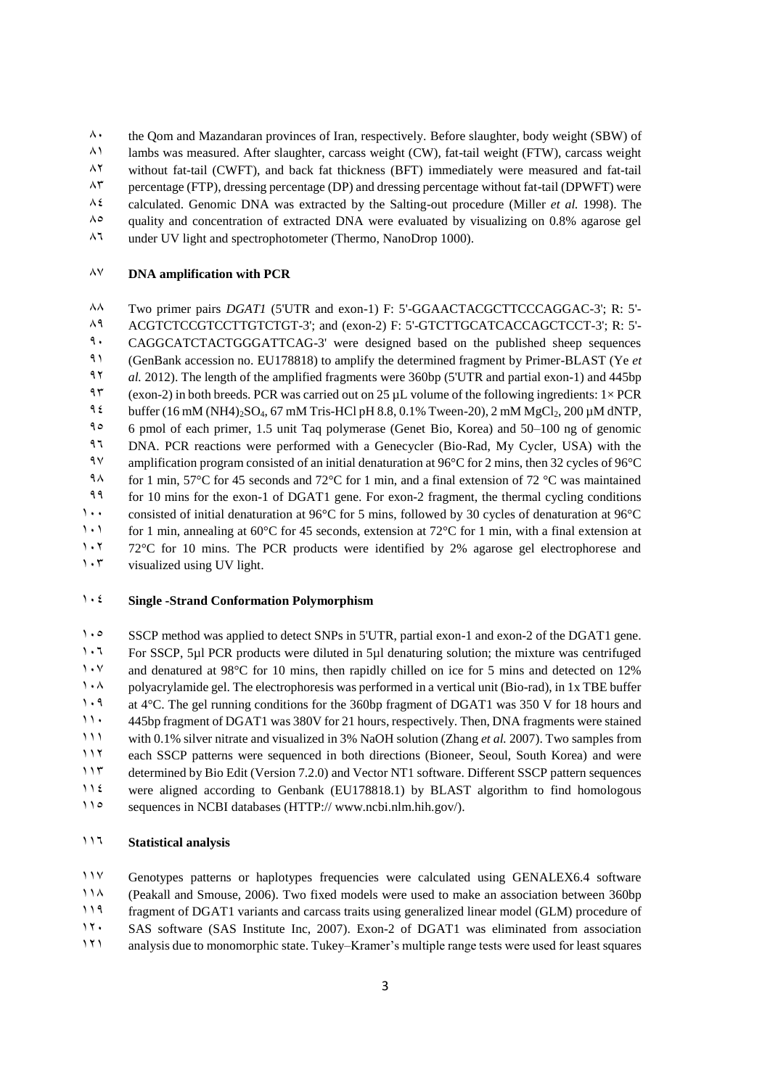$\lambda$  the Qom and Mazandaran provinces of Iran, respectively. Before slaughter, body weight (SBW) of

81 lambs was measured. After slaughter, carcass weight (CW), fat-tail weight (FTW), carcass weight

 $\lambda^{\gamma}$  without fat-tail (CWFT), and back fat thickness (BFT) immediately were measured and fat-tail

 $\Lambda^{\tau}$  percentage (FTP), dressing percentage (DP) and dressing percentage without fat-tail (DPWFT) were

 $\lambda$ <sup>2</sup> calculated. Genomic DNA was extracted by the Salting-out procedure (Miller *et al.* 1998). The

 $\lambda^{\circ}$  quality and concentration of extracted DNA were evaluated by visualizing on 0.8% agarose gel

86 under UV light and spectrophotometer (Thermo, NanoDrop 1000).

## 87 **DNA amplification with PCR**

88 Two primer pairs *DGAT1* (5'UTR and exon-1) F: 5'-GGAACTACGCTTCCCAGGAC-3'; R: 5'- A<sup>9</sup> ACGTCTCCGTCCTTGTCTGT-3'; and (exon-2) F: 5'-GTCTTGCATCACCAGCTCCT-3'; R: 5'-<sup>9</sup> CAGGCATCTACTGGGATTCAG-3' were designed based on the published sheep sequences 91 (GenBank accession no. EU178818) to amplify the determined fragment by Primer-BLAST (Ye *et*  92 *al.* 2012). The length of the amplified fragments were 360bp (5'UTR and partial exon-1) and 445bp 93 (exon-2) in both breeds. PCR was carried out on 25  $\mu$ L volume of the following ingredients: 1× PCR 94 buffer  $(16 \text{ mM} (NH4)_{2}SO_4, 67 \text{ mM}$  Tris-HCl pH 8.8, 0.1% Tween-20), 2 mM MgCl<sub>2</sub>, 200  $\mu$ M dNTP, 95 6 pmol of each primer, 1.5 unit Taq polymerase (Genet Bio, Korea) and 50–100 ng of genomic 96 DNA. PCR reactions were performed with a Genecycler (Bio-Rad, My Cycler, USA) with the 97 amplification program consisted of an initial denaturation at 96°C for 2 mins, then 32 cycles of 96°C 988 for 1 min, 57°C for 45 seconds and 72°C for 1 min, and a final extension of 72 °C was maintained 99 for 10 mins for the exon-1 of DGAT1 gene. For exon-2 fragment, the thermal cycling conditions 1... consisted of initial denaturation at 96°C for 5 mins, followed by 30 cycles of denaturation at 96°C 1.1 for 1 min, annealing at 60°C for 45 seconds, extension at 72°C for 1 min, with a final extension at 1.1 72°C for 10 mins. The PCR products were identified by 2% agarose gel electrophorese and  $1.7$  visualized using UV light.

## 104 **Single -Strand Conformation Polymorphism**

1.0 SSCP method was applied to detect SNPs in 5'UTR, partial exon-1 and exon-2 of the DGAT1 gene. 1.1 For SSCP, 5ul PCR products were diluted in 5ul denaturing solution; the mixture was centrifuged 1. V and denatured at 98°C for 10 mins, then rapidly chilled on ice for 5 mins and detected on 12% 1.4 polyacrylamide gel. The electrophoresis was performed in a vertical unit (Bio-rad), in 1x TBE buffer 1.9 at 4°C. The gel running conditions for the 360bp fragment of DGAT1 was 350 V for 18 hours and 11. 445bp fragment of DGAT1 was 380V for 21 hours, respectively. Then, DNA fragments were stained 111 with 0.1% silver nitrate and visualized in 3% NaOH solution (Zhang *et al.* 2007). Two samples from 112 each SSCP patterns were sequenced in both directions (Bioneer, Seoul, South Korea) and were 113 determined by Bio Edit (Version 7.2.0) and Vector NT1 software. Different SSCP pattern sequences 114 were aligned according to Genbank (EU178818.1) by BLAST algorithm to find homologous 11<sup>o</sup> sequences in NCBI databases (HTTP:// www.ncbi.nlm.hih.gov/).

## 116 **Statistical analysis**

117 Genotypes patterns or haplotypes frequencies were calculated using GENALEX6.4 software

118 (Peakall and Smouse, 2006). Two fixed models were used to make an association between 360bp

119 fragment of DGAT1 variants and carcass traits using generalized linear model (GLM) procedure of

11. SAS software (SAS Institute Inc. 2007). Exon-2 of DGAT1 was eliminated from association

121 analysis due to monomorphic state. Tukey–Kramer's multiple range tests were used for least squares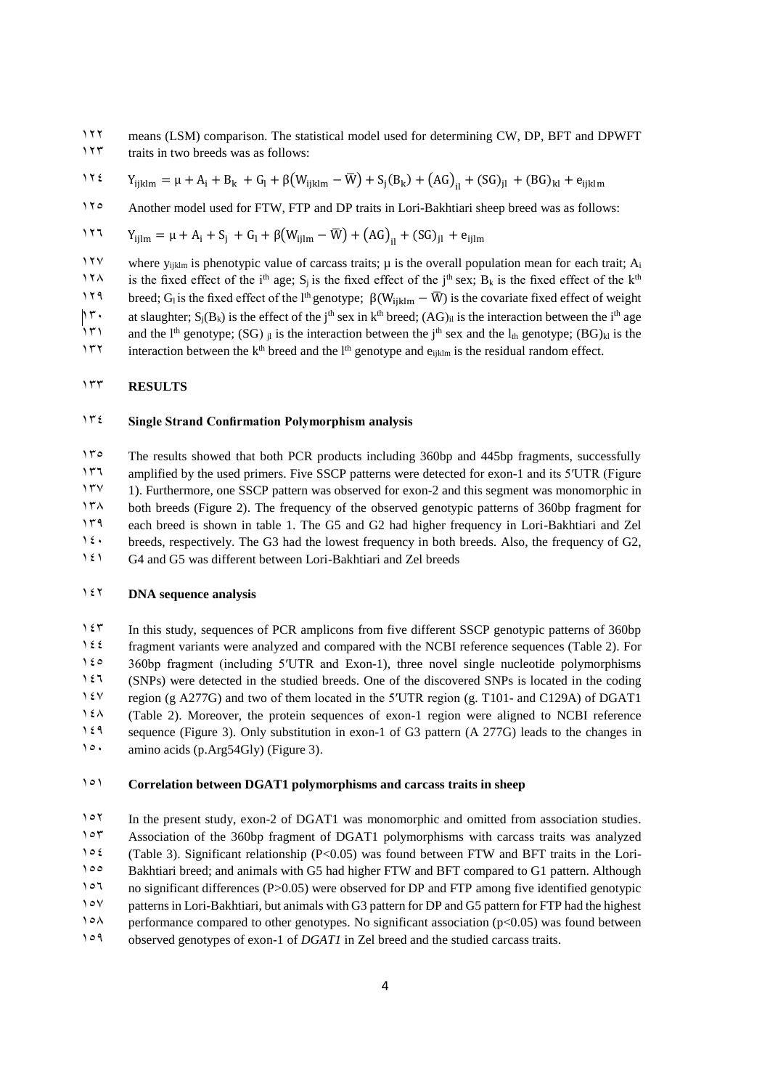122 means (LSM) comparison. The statistical model used for determining CW, DP, BFT and DPWFT 123 traits in two breeds was as follows:

1 τ ε  $Y_{ijklm} = μ + A_i + B_k + G_l + β(W_{ijklm} - \overline{W}) + S_j(B_k) + (AG)_{il} + (SG)_{jl} + (BG)_{kl} + e_{ijklm}$ 

11<sup>0</sup> Another model used for FTW, FTP and DP traits in Lori-Bakhtiari sheep breed was as follows:

117 
$$
Y_{ijlm} = \mu + A_i + S_j + G_l + \beta (W_{ijlm} - \overline{W}) + (AG)_{il} + (SG)_{jl} + e_{ijlm}
$$

117 where  $y_{iiklm}$  is phenotypic value of carcass traits;  $\mu$  is the overall population mean for each trait;  $A_i$ 

174 is the fixed effect of the i<sup>th</sup> age; S<sub>j</sub> is the fixed effect of the j<sup>th</sup> sex; B<sub>k</sub> is the fixed effect of the k<sup>th</sup> 119 breed; G<sub>l</sub> is the fixed effect of the l<sup>th</sup> genotype;  $\beta(W_{ijklm} - \overline{W})$  is the covariate fixed effect of weight

<sup>1</sup> T at slaughter;  $S_j(B_k)$  is the effect of the j<sup>th</sup> sex in k<sup>th</sup> breed;  $(AG)_{il}$  is the interaction between the i<sup>th</sup> age

171 and the l<sup>th</sup> genotype; (SG)  $_{jl}$  is the interaction between the j<sup>th</sup> sex and the l<sub>th</sub> genotype; (BG)<sub>kl</sub> is the

<sup>1</sup> $\mathbb{I}^{\mathsf{T}}$  interaction between the k<sup>th</sup> breed and the l<sup>th</sup> genotype and e<sub>ijklm</sub> is the residual random effect.

#### 133 **RESULTS**

#### 134 **Single Strand Confirmation Polymorphism analysis**

15<sup>o</sup> The results showed that both PCR products including 360bp and 445bp fragments, successfully 1475 amplified by the used primers. Five SSCP patterns were detected for exon-1 and its 5′UTR (Figure 1). Furthermore, one SSCP pattern was observed for exon-2 and this segment was monomorphic in both breeds (Figure 2). The frequency of the observed genotypic patterns of 360bp fragment for each breed is shown in table 1. The G5 and G2 had higher frequency in Lori-Bakhtiari and Zel  $\mathfrak{t}$  breeds, respectively. The G3 had the lowest frequency in both breeds. Also, the frequency of G2, G4 and G5 was different between Lori-Bakhtiari and Zel breeds

#### 142 **DNA sequence analysis**

1<sup>14</sup> In this study, sequences of PCR amplicons from five different SSCP genotypic patterns of 360bp 144 fragment variants were analyzed and compared with the NCBI reference sequences (Table 2). For 1 $\epsilon$ <sup>o</sup> 360bp fragment (including 5′UTR and Exon-1), three novel single nucleotide polymorphisms 1<sup>21</sup> (SNPs) were detected in the studied breeds. One of the discovered SNPs is located in the coding 147 region (g A277G) and two of them located in the 5′UTR region (g. T101- and C129A) of DGAT1 1 $\lambda$ <sup>1</sup> (Table 2). Moreover, the protein sequences of exon-1 region were aligned to NCBI reference 149 sequence (Figure 3). Only substitution in exon-1 of G3 pattern (A 277G) leads to the changes in 1<sup>o</sup> amino acids (p.Arg54Gly) (Figure 3).

### 151 **Correlation between DGAT1 polymorphisms and carcass traits in sheep**

107 In the present study, exon-2 of DGAT1 was monomorphic and omitted from association studies. 1°<sup>5</sup> Association of the 360bp fragment of DGAT1 polymorphisms with carcass traits was analyzed  $1 \circ \ell$  (Table 3). Significant relationship (P<0.05) was found between FTW and BFT traits in the Lori-100 Bakhtiari breed; and animals with G5 had higher FTW and BFT compared to G1 pattern. Although 107 no significant differences (P>0.05) were observed for DP and FTP among five identified genotypic 10Y patterns in Lori-Bakhtiari, but animals with G3 pattern for DP and G5 pattern for FTP had the highest  $10\text{A}$  performance compared to other genotypes. No significant association (p<0.05) was found between 109 observed genotypes of exon-1 of *DGAT1* in Zel breed and the studied carcass traits.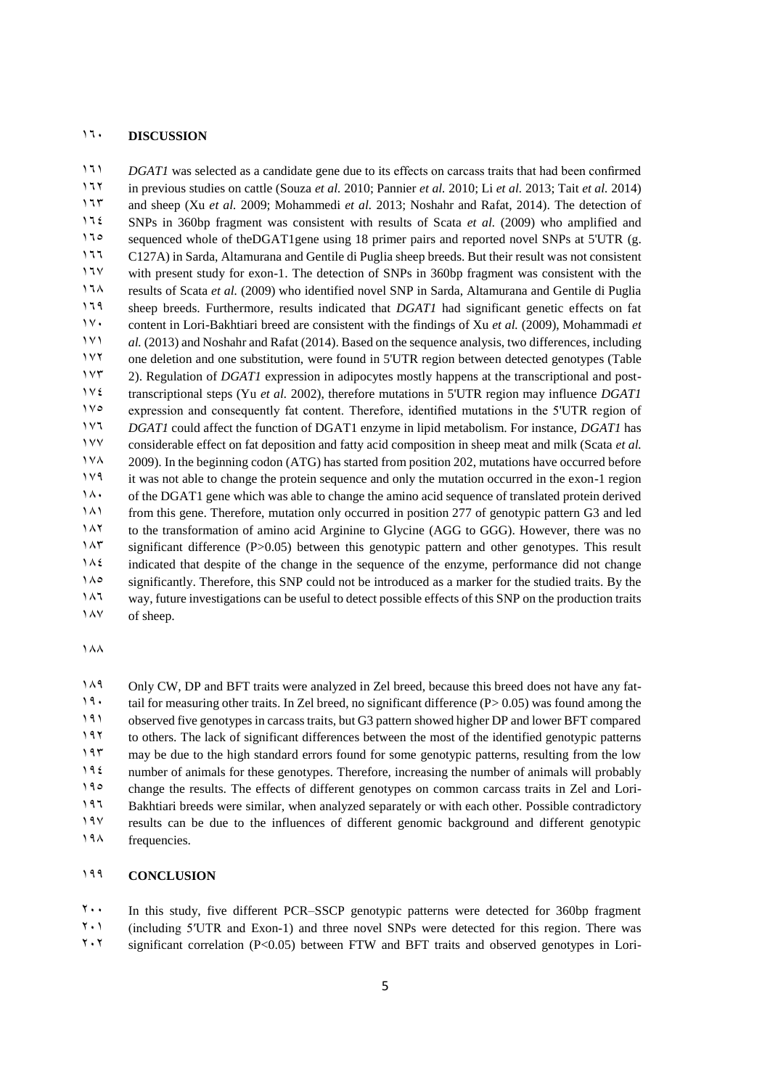## **DISCUSSION**

*DGAT1* was selected as a candidate gene due to its effects on carcass traits that had been confirmed in previous studies on cattle (Souza *et al.* 2010; Pannier *et al.* 2010; Li *et al.* 2013; Tait *et al.* 2014) and sheep (Xu *et al.* 2009; Mohammedi *et al.* 2013; Noshahr and Rafat, 2014). The detection of SNPs in 360bp fragment was consistent with results of Scata *et al.* (2009) who amplified and 11° sequenced whole of theDGAT1gene using 18 primer pairs and reported novel SNPs at 5'UTR (g. C127A) in Sarda, Altamurana and Gentile di Puglia sheep breeds. But their result was not consistent 11<sup>V</sup> with present study for exon-1. The detection of SNPs in 360bp fragment was consistent with the results of Scata *et al.* (2009) who identified novel SNP in Sarda, Altamurana and Gentile di Puglia sheep breeds. Furthermore, results indicated that *DGAT1* had significant genetic effects on fat content in Lori-Bakhtiari breed are consistent with the findings of Xu *et al.* (2009), Mohammadi *et al.* (2013) and Noshahr and Rafat (2014). Based on the sequence analysis, two differences, including one deletion and one substitution, were found in 5'UTR region between detected genotypes (Table 2). Regulation of *DGAT1* expression in adipocytes mostly happens at the transcriptional and post- transcriptional steps (Yu *et al.* 2002), therefore mutations in 5'UTR region may influence *DGAT1* 1<sup>10</sup> expression and consequently fat content. Therefore, identified mutations in the 5<sup>'</sup>UTR region of *DGAT1* could affect the function of DGAT1 enzyme in lipid metabolism. For instance, *DGAT1* has considerable effect on fat deposition and fatty acid composition in sheep meat and milk (Scata *et al.* 2009). In the beginning codon (ATG) has started from position 202, mutations have occurred before it was not able to change the protein sequence and only the mutation occurred in the exon-1 region 140 of the DGAT1 gene which was able to change the amino acid sequence of translated protein derived from this gene. Therefore, mutation only occurred in position 277 of genotypic pattern G3 and led to the transformation of amino acid Arginine to Glycine (AGG to GGG). However, there was no 14<sup>8</sup> significant difference (P>0.05) between this genotypic pattern and other genotypes. This result indicated that despite of the change in the sequence of the enzyme, performance did not change significantly. Therefore, this SNP could not be introduced as a marker for the studied traits. By the 147 way, future investigations can be useful to detect possible effects of this SNP on the production traits 1 AV of sheep.

 $\lambda_A$ 

149 Only CW, DP and BFT traits were analyzed in Zel breed, because this breed does not have any fat-19 tail for measuring other traits. In Zel breed, no significant difference (P $> 0.05$ ) was found among the observed five genotypes in carcass traits, but G3 pattern showed higher DP and lower BFT compared to others. The lack of significant differences between the most of the identified genotypic patterns may be due to the high standard errors found for some genotypic patterns, resulting from the low number of animals for these genotypes. Therefore, increasing the number of animals will probably 190 change the results. The effects of different genotypes on common carcass traits in Zel and Lori- Bakhtiari breeds were similar, when analyzed separately or with each other. Possible contradictory results can be due to the influences of different genomic background and different genotypic frequencies.

## **CONCLUSION**

 In this study, five different PCR–SSCP genotypic patterns were detected for 360bp fragment  $2 \cdot 1$  (including 5′UTR and Exon-1) and three novel SNPs were detected for this region. There was significant correlation (P<0.05) between FTW and BFT traits and observed genotypes in Lori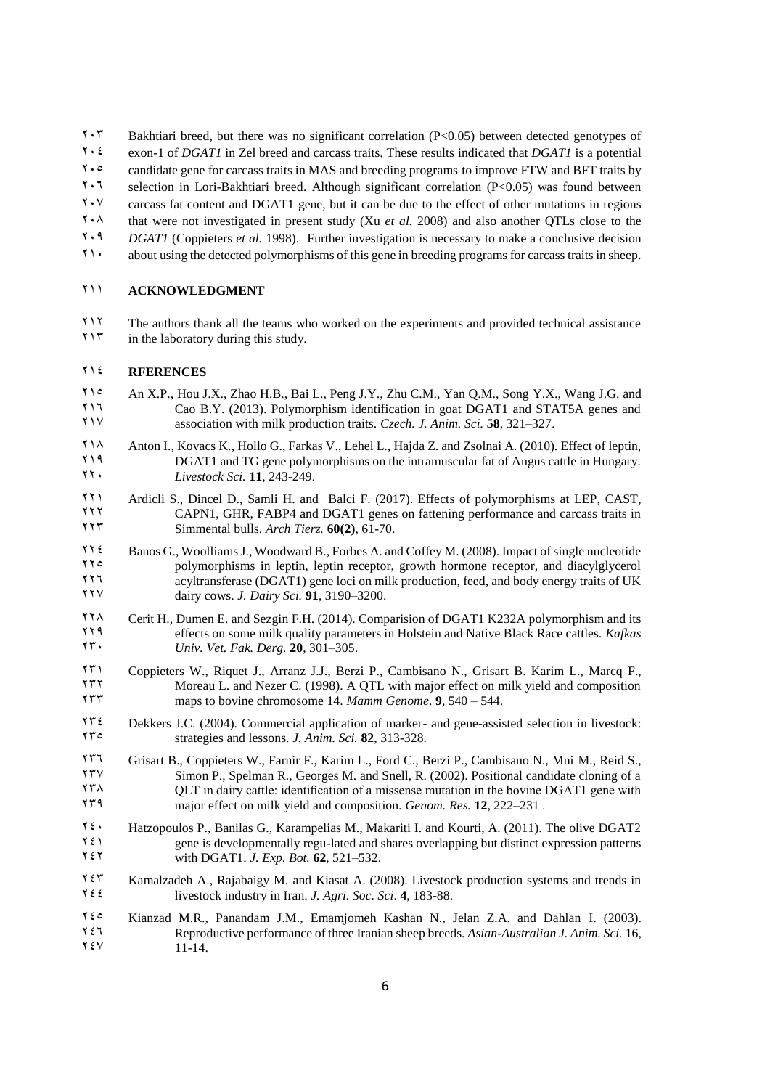$1.7$  Bakhtiari breed, but there was no significant correlation (P<0.05) between detected genotypes of

- 204 exon-1 of *DGAT1* in Zel breed and carcass traits. These results indicated that *DGAT1* is a potential
- 205 candidate gene for carcass traits in MAS and breeding programs to improve FTW and BFT traits by
- 206 selection in Lori-Bakhtiari breed. Although significant correlation (P<0.05) was found between
- $2.87 \times 2.00$  carcass fat content and DGAT1 gene, but it can be due to the effect of other mutations in regions
- $20.8$  that were not investigated in present study (Xu *et al.* 2008) and also another OTLs close to the
- 209 *DGAT1* (Coppieters *et al.* 1998). Further investigation is necessary to make a conclusive decision
- 210 about using the detected polymorphisms of this gene in breeding programs for carcass traits in sheep.

## 211 **ACKNOWLEDGMENT**

 $211$ <sup>2</sup> The authors thank all the teams who worked on the experiments and provided technical assistance<br> $217$  in the laboratory during this study. in the laboratory during this study.

#### 214 **RFERENCES**

- 21.5 An X.P., Hou J.X., Zhao H.B., Bai L., Peng J.Y., Zhu C.M., Yan Q.M., Song Y.X., Wang J.G. and<br>220 B Y (2013) Polymorphism identification in goat DGAT1 and STAT5A genes and 215 Cao B.Y. (2013). Polymorphism identification in goat DGAT1 and STAT5A genes and system in goat DGAT1 and STAT5A genes and system in section with milk production traits *Czech J Anim Sci* 58 321–327 association with milk production traits. *Czech. J. Anim. Sci.* **58**, 321–327.
- 218 Anton I., Kovacs K., Hollo G., Farkas V., Lehel L., Hajda Z. and Zsolnai A. (2010). Effect of leptin,<br>219 DGAT1 and TG gene polymorphisms on the intramuscular fat of Angus cattle in Hungary 219 DGAT1 and TG gene polymorphisms on the intramuscular fat of Angus cattle in Hungary.<br>221. Investor Sci. 11, 243-249 220 *Livestock Sci.* **11**, 243-249.
- <sup>221</sup> Ardicli S., Dincel D., Samli H. and Balci F. (2017). Effects of polymorphisms at LEP, CAST,<br><sup>2</sup>211 CAPN1 GHR FABP4 and DGAT1 genes on fattening performance and carcass traits in 2222 CAPN1, GHR, FABP4 and DGAT1 genes on fattening performance and carcass traits in<br>2225 Simmental bulls. Arch Tierz. 60(2), 61-70. Simmental bulls. *Arch Tierz*. **60(2)**, 61-70.
- $224$  Banos G., Woolliams J., Woodward B., Forbes A. and Coffey M. (2008). Impact of single nucleotide<br>
2226 Banos G., Woolliams in Jentin Jentin recenter, growth hormone recenter, and disculational polymorphisms in leptin, leptin receptor, growth hormone receptor, and diacylglycerol<br>
225 acyltransferase (DGAT1) gene loci on milk production, feed, and body energy traits of UK acyltransferase (DGAT1) gene loci on milk production, feed, and body energy traits of UK 227 dairy cows. *J. Dairy Sci.* **91**, 3190–3200.
- 228 Cerit H., Dumen E. and Sezgin F.H. (2014). Comparision of DGAT1 K232A polymorphism and its<br>228 Polymorphism and its effects on some milk quality parameters in Holstein and Native Black Race cattles Katkas <sup>229</sup> effects on some milk quality parameters in Holstein and Native Black Race cattles. *Kafkas* **17.** *Univ Vet Eak Derg* 20, 301–305 230 *Univ. Vet. Fak. Derg.* **20**, 301–305.
- <sup>23</sup>1 Coppieters W., Riquet J., Arranz J.J., Berzi P., Cambisano N., Grisart B. Karim L., Marcq F., 75 2322 Moreau L. and Nezer C. (1998). A QTL with major effect on milk yield and composition<br>
232 Moreau L. and Nezer C. (1998). A QTL with major effect on milk yield and composition<br>
232 Moreau L. and Nezer C. (1998). A QTL maps to bovine chromosome 14. *Mamm Genome*. **9**, 540 – 544.
- <sup>234</sup> Dekkers J.C. (2004). Commercial application of marker- and gene-assisted selection in livestock:<br><sup>244</sup> Strategies and lessons *J. Anim. Sci.* **82**, 313-328 235 strategies and lessons. *J. Anim. Sci.* **82**, 313-328.
- <sup>236</sup> Grisart B., Coppieters W., Farnir F., Karim L., Ford C., Berzi P., Cambisano N., Mni M., Reid S., TYV<br><sup>246</sup> Simon P., Spelman R., Georges M. and Spell, R. (2002). Positional candidate cloning of a  $277^\circ$  Simon P., Spelman R., Georges M. and Snell, R. (2002). Positional candidate cloning of a<br> $277^\circ$  OUT in dairy cattle: identification of a missense mutation in the boyine DGAT1 gene with  $2588$  QLT in dairy cattle: identification of a missense mutation in the bovine DGAT1 gene with<br>  $2222-231$ major effect on milk yield and composition. *Genom. Res.* **12**, 222–231.
- $7\ell$  Hatzopoulos P., Banilas G., Karampelias M., Makariti I. and Kourti, A. (2011). The olive DGAT2<br> $7\ell$  $241$  gene is developmentally regu-lated and shares overlapping but distinct expression patterns<br> $251$  with DGAT1 *LExp. Bot* 62, 521–532 with DGAT1. *J. Exp. Bot.* **62**, 521–532.
- 254 Kamalzadeh A., Rajabaigy M. and Kiasat A. (2008). Livestock production systems and trends in  $\overline{2}$  is livestock industry in Iran *J Agri Soc. Sci* 4, 183-88 livestock industry in Iran. *J. Agri. Soc. Sci.* 4, 183-88.
- 120 Kianzad M.R., Panandam J.M., Emamjomeh Kashan N., Jelan Z.A. and Dahlan I. (2003).<br>125 Reproductive performance of three Iranian sheep breeds. Asian-Australian J. Anim. Sci. 16. 246 Reproductive performance of three Iranian sheep breeds. *Asian-Australian J. Anim. Sci.* 16,  $11 - 14.$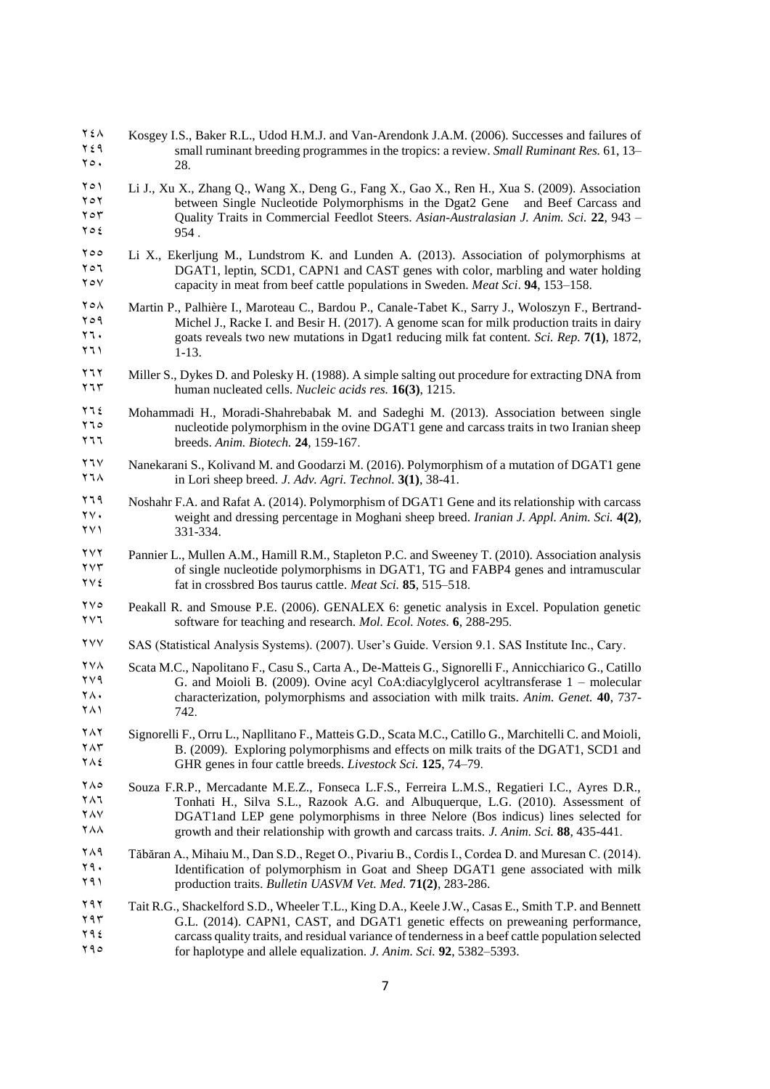- $7 \xi \lambda$  Kosgey I.S., Baker R.L., Udod H.M.J. and Van-Arendonk J.A.M. (2006). Successes and failures of  $7 \xi$  and  $\eta$  small ruminant breeding programmes in the tropics: a review *Small Ruminant Res* 61. 13– 249 small ruminant breeding programmes in the tropics: a review. *Small Ruminant Res.* 61, 13–  $70.28$
- $2581$  Li J., Xu X., Zhang Q., Wang X., Deng G., Fang X., Gao X., Ren H., Xua S. (2009). Association between Single Nucleotide Polymorphisms in the Dgat2 Gene and Beef Carcass and 2022 between Single Nucleotide Polymorphisms in the Dgat2 Gene and Beef Carcass and<br>252 Ouality Traits in Commercial Feedlot Steers, Asian-Australasian J. Anim. Sci. 22, 943 253 Quality Traits in Commercial Feedlot Steers. *Asian-Australasian J. Anim. Sci.* **22**, 943 –  $7 \circ \epsilon$  954.
- $25\degree$  Li X., Ekerljung M., Lundstrom K. and Lunden A. (2013). Association of polymorphisms at  $25\degree$  $256$  DGAT1, leptin, SCD1, CAPN1 and CAST genes with color, marbling and water holding<br> $256$  capacity in meat from beef cattle populations in Sweden *Meat Sci* **94** 153–158 257 capacity in meat from beef cattle populations in Sweden. *Meat Sci*. **94**, 153–158.
- 258 Martin P., Palhière I., Maroteau C., Bardou P., Canale-Tabet K., Sarry J., Woloszyn F., Bertrand-259 Michel J., Racke I. and Besir H. (2017). A genome scan for milk production traits in dairy<br>251. The goats reveals two new mutations in Doat1 reducing milk fat content. Sci. Rep. 7(1) 1872. 271 goats reveals two new mutations in Dgat1 reducing milk fat content. *Sci. Rep.* 7(1), 1872, <br>211 1-13  $1 - 13.$
- 272 Miller S., Dykes D. and Polesky H. (1988). A simple salting out procedure for extracting DNA from<br>275 human nucleated cells. *Nucleic acids res.* **16(3)**, 1215.
- $271\ell$  Mohammadi H., Moradi-Shahrebabak M. and Sadeghi M. (2013). Association between single<br>
2013 Mohammadi H., Moradi-Shahrebabak M. and Sadeghi M. (2013). Association between single The mucleotide polymorphism in the ovine DGAT1 gene and carcass traits in two Iranian sheep<br>
PERSON STATES SHEEPS SHEEPS SHEEPS SHEEPS SHEEPS SHEEPS SHEEPS SHEEPS SHEEPS SHEEPS SHEEPS SHEEPS SHEEPS SHEEPS SHEEPS SHEEPS SHE 266 breeds. *Anim. Biotech.* **24**, 159-167.
- 27 Nanekarani S., Kolivand M. and Goodarzi M. (2016). Polymorphism of a mutation of DGAT1 gene<br>267 in Lori sheep breed  $I$  Adv Agri Technol 3(1) 38-41 268 in Lori sheep breed. *J. Adv. Agri. Technol.* **3(1)**, 38-41.
- 279 Noshahr F.A. and Rafat A. (2014). Polymorphism of DGAT1 Gene and its relationship with carcass<br> $\gamma \gamma$ . 270 weight and dressing percentage in Moghani sheep breed. *Iranian J. Appl. Anim. Sci.* **4(2)**, 271 331-334.
- Pannier L., Mullen A.M., Hamill R.M., Stapleton P.C. and Sweeney T. (2010). Association analysis<br>
272 of single nucleotide polymorphisms in DGAT1 TG and EARP4 genes and intramuscular <sup>274</sup> of single nucleotide polymorphisms in DGAT1, TG and FABP4 genes and intramuscular<br><sup>274</sup> fat in crossbred Bos taurus cattle. *Meat Sci.* **85**, 515–518 274 fat in crossbred Bos taurus cattle. *Meat Sci.* **85**, 515–518.
- $275$  Peakall R. and Smouse P.E. (2006). GENALEX 6: genetic analysis in Excel. Population genetic software for teaching and research. *Mol. Ecol. Notes* 6, 288-295 276 software for teaching and research. *Mol. Ecol. Notes.* **6**, 288-295.
- 277 SAS (Statistical Analysis Systems). (2007). User's Guide. Version 9.1. SAS Institute Inc., Cary.
- $278$  Scata M.C., Napolitano F., Casu S., Carta A., De-Matteis G., Signorelli F., Annicchiarico G., Catillo  $G$  and Mojoli B. (2009). Ovine acyl CoA:diacylolycerol acyltransferase  $1 -$  molecular <sup>279</sup> G. and Moioli B. (2009). Ovine acyl CoA:diacylglycerol acyltransferase 1 – molecular<br><sup>27</sup> Characterization polymorphisms and association with milk traits *Anim Genet* 40 737– 280 characterization, polymorphisms and association with milk traits. *Anim. Genet.* **40**, 737-  $742.$
- <sup>282</sup> Signorelli F., Orru L., Napllitano F., Matteis G.D., Scata M.C., Catillo G., Marchitelli C. and Moioli,<br>28 2009 Exploring polymorphisms and effects on milk traits of the DGAT1, SCD1 and  $283$  B. (2009). Exploring polymorphisms and effects on milk traits of the DGAT1, SCD1 and  $7\lambda$  GHR genes in four cattle breeds *Livestock Sci* 125, 74–79 284 GHR genes in four cattle breeds. *Livestock Sci.* **125**, 74–79.
- Souza F.R.P., Mercadante M.E.Z., Fonseca L.F.S., Ferreira L.M.S., Regatieri I.C., Ayres D.R.,<br>Tonbati H Silva S.L. Razook A.G. and Albuquerque L.G. (2010) Assessment of <sup>2</sup><br>286 Tonhati H., Silva S.L., Razook A.G. and Albuquerque, L.G. (2010). Assessment of<br>286 TAY  $287\lambda$ <br>
287 DGAT1and LEP gene polymorphisms in three Nelore (Bos indicus) lines selected for<br>
288 435-441 288 growth and their relationship with growth and carcass traits. *J. Anim. Sci.* **88**, 435-441.
- <sup>7</sup> Tăbăran A., Mihaiu M., Dan S.D., Reget O., Pivariu B., Cordis I., Cordea D. and Muresan C. (2014).<br><sup>79</sup> Identification of polymorphism in Goat and Sheep DGAT1 gene associated with milk 29. Identification of polymorphism in Goat and Sheep DGAT1 gene associated with milk<br>290 Induction traits *Bulletin UASVM Vet Med*  $71(2)$  283-286 291 production traits. *Bulletin UASVM Vet. Med.* **71(2)**, 283-286.
- 292 Tait R.G., Shackelford S.D., Wheeler T.L., King D.A., Keele J.W., Casas E., Smith T.P. and Bennett 1934 C.L. (2014). CAPN1, CAST, and DGAT1 genetic effects on preweaning performance,<br>1934 Carcass quality traits and residual variance of tenderness in a beef cattle population selected  $294$  carcass quality traits, and residual variance of tenderness in a beef cattle population selected<br> $292.5382 - 5393$ 295 for haplotype and allele equalization. *J. Anim. Sci.* **92**, 5382–5393.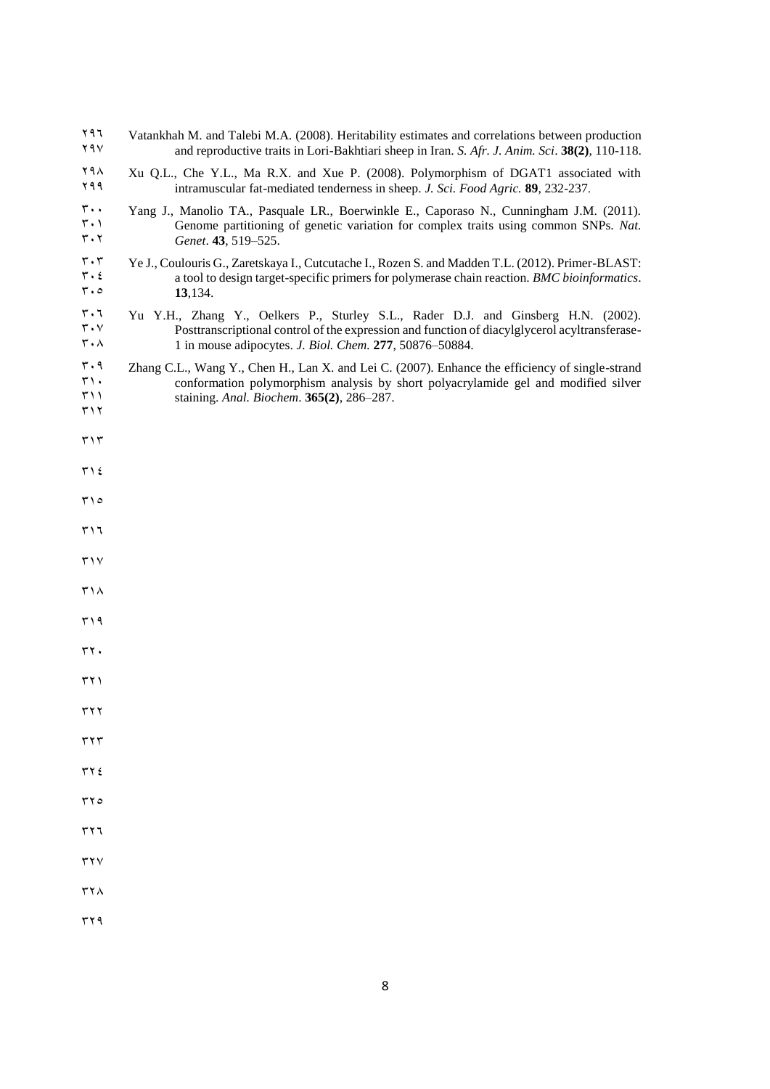| ۲۹٦<br>۲۹۷                                                                                             | Vatankhah M. and Talebi M.A. (2008). Heritability estimates and correlations between production<br>and reproductive traits in Lori-Bakhtiari sheep in Iran. S. Afr. J. Anim. Sci. 38(2), 110-118.                                             |
|--------------------------------------------------------------------------------------------------------|-----------------------------------------------------------------------------------------------------------------------------------------------------------------------------------------------------------------------------------------------|
| ۲۹۸<br>۲۹۹                                                                                             | Xu Q.L., Che Y.L., Ma R.X. and Xue P. (2008). Polymorphism of DGAT1 associated with<br>intramuscular fat-mediated tenderness in sheep. J. Sci. Food Agric. 89, 232-237.                                                                       |
| ٣.,<br>$\mathbf{r} \cdot \mathbf{v}$<br>$\mathbf{r} \cdot \mathbf{r}$                                  | Yang J., Manolio TA., Pasquale LR., Boerwinkle E., Caporaso N., Cunningham J.M. (2011).<br>Genome partitioning of genetic variation for complex traits using common SNPs. Nat.<br>Genet. 43, 519-525.                                         |
| $\mathbf{r} \cdot \mathbf{r}$<br>$\mathbf{r} \cdot \mathbf{\epsilon}$<br>$\mathbf{r} \cdot \mathbf{0}$ | Ye J., Coulouris G., Zaretskaya I., Cutcutache I., Rozen S. and Madden T.L. (2012). Primer-BLAST:<br>a tool to design target-specific primers for polymerase chain reaction. BMC bioinformatics.<br>13,134.                                   |
| $r \cdot 7$<br>$\mathbf{r} \cdot \mathbf{v}$<br>$r \cdot \lambda$                                      | Yu Y.H., Zhang Y., Oelkers P., Sturley S.L., Rader D.J. and Ginsberg H.N. (2002).<br>Posttranscriptional control of the expression and function of diacylglycerol acyltransferase-<br>1 in mouse adipocytes. J. Biol. Chem. 277, 50876-50884. |
| $\mathbf{r} \cdot \mathbf{q}$<br>$\mathbf{r} \cdot$<br>$\uparrow$ ) )<br>۳۱۲                           | Zhang C.L., Wang Y., Chen H., Lan X. and Lei C. (2007). Enhance the efficiency of single-strand<br>conformation polymorphism analysis by short polyacrylamide gel and modified silver<br>staining. Anal. Biochem. 365(2), 286-287.            |
| $\mathbf{r} \setminus \mathbf{r}$                                                                      |                                                                                                                                                                                                                                               |
| ۲۱٤                                                                                                    |                                                                                                                                                                                                                                               |
| ۱۵                                                                                                     |                                                                                                                                                                                                                                               |
| ۳۱٦                                                                                                    |                                                                                                                                                                                                                                               |
| $\mathbf{r} \wedge \mathbf{v}$                                                                         |                                                                                                                                                                                                                                               |
| ۳۱۸                                                                                                    |                                                                                                                                                                                                                                               |
| ۳۱۹                                                                                                    |                                                                                                                                                                                                                                               |
| rr.                                                                                                    |                                                                                                                                                                                                                                               |
| ۲۲۱                                                                                                    |                                                                                                                                                                                                                                               |
| $\mathbf{r}$                                                                                           |                                                                                                                                                                                                                                               |
| $\mathbf{r}$                                                                                           |                                                                                                                                                                                                                                               |
| $\tau \tau$ {                                                                                          |                                                                                                                                                                                                                                               |
| $\tau\tau$                                                                                             |                                                                                                                                                                                                                                               |
| $\tau$ $\tau$                                                                                          |                                                                                                                                                                                                                                               |
| $\mathbf{r}$                                                                                           |                                                                                                                                                                                                                                               |
| ۳۲۸                                                                                                    |                                                                                                                                                                                                                                               |
| ۳۲۹                                                                                                    |                                                                                                                                                                                                                                               |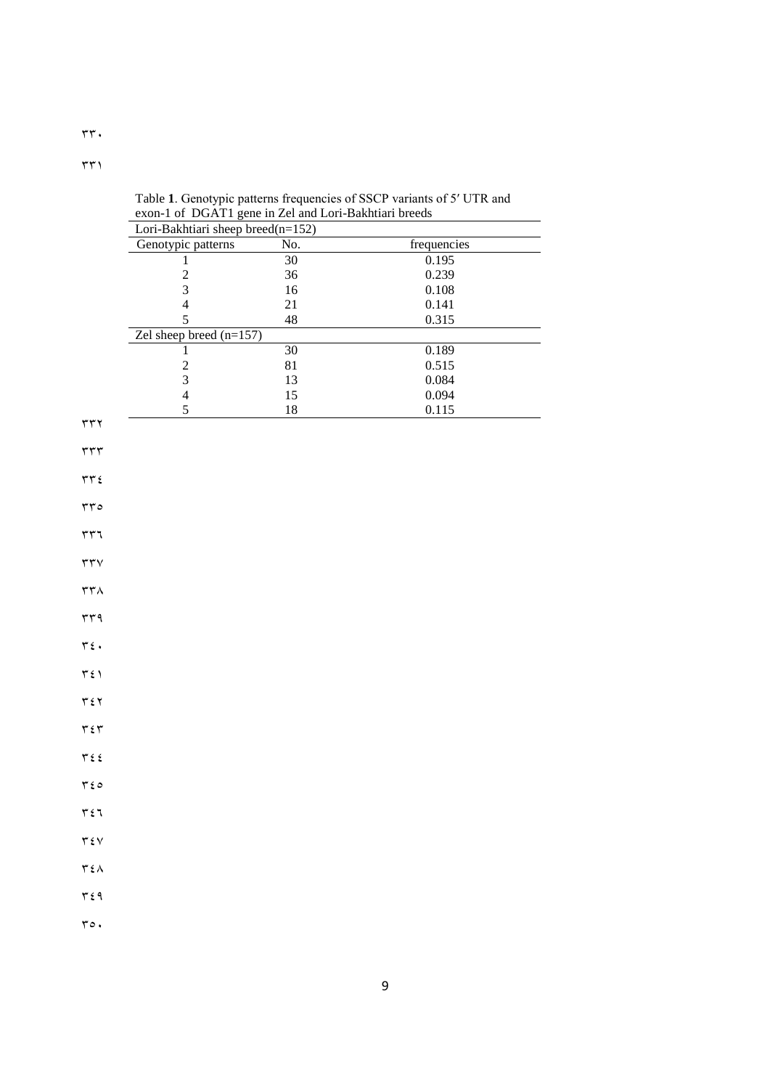|                                           | Lori-Bakhtiari sheep breed(n=152) |              |                    |  |  |  |  |  |
|-------------------------------------------|-----------------------------------|--------------|--------------------|--|--|--|--|--|
|                                           | Genotypic patterns                | No.          | frequencies        |  |  |  |  |  |
|                                           | 1                                 | $30\,$       | 0.195              |  |  |  |  |  |
|                                           | $\frac{2}{3}$                     | 36<br>$16\,$ | 0.239<br>0.108     |  |  |  |  |  |
|                                           | $\overline{4}$                    | $21\,$       | 0.141              |  |  |  |  |  |
|                                           | 5                                 | $\sqrt{48}$  | 0.315              |  |  |  |  |  |
|                                           | Zel sheep breed $(n=157)$         |              |                    |  |  |  |  |  |
|                                           | 1                                 | $30\,$       | 0.189              |  |  |  |  |  |
|                                           | $\overline{c}$                    | 81           | 0.515              |  |  |  |  |  |
|                                           | $\overline{\mathbf{3}}$           | 13           | 0.084              |  |  |  |  |  |
|                                           | $\overline{4}$<br>5               | 15<br>$18\,$ | 0.094<br>$0.115\,$ |  |  |  |  |  |
| $rr\tau$                                  |                                   |              |                    |  |  |  |  |  |
|                                           |                                   |              |                    |  |  |  |  |  |
| $\tau\tau\tau$                            |                                   |              |                    |  |  |  |  |  |
| $\tau\tau$ $\epsilon$                     |                                   |              |                    |  |  |  |  |  |
|                                           |                                   |              |                    |  |  |  |  |  |
| rro                                       |                                   |              |                    |  |  |  |  |  |
| $\tau\tau\tau$                            |                                   |              |                    |  |  |  |  |  |
|                                           |                                   |              |                    |  |  |  |  |  |
| $\tau\tau\vee$                            |                                   |              |                    |  |  |  |  |  |
| $\tau\tau\wedge$                          |                                   |              |                    |  |  |  |  |  |
|                                           |                                   |              |                    |  |  |  |  |  |
| rrq                                       |                                   |              |                    |  |  |  |  |  |
| $\mathbf{r}$ :                            |                                   |              |                    |  |  |  |  |  |
|                                           |                                   |              |                    |  |  |  |  |  |
| $\tau$ { $\lambda$                        |                                   |              |                    |  |  |  |  |  |
| $\tau\, \epsilon\, \tau$                  |                                   |              |                    |  |  |  |  |  |
|                                           |                                   |              |                    |  |  |  |  |  |
| $\tau\,\epsilon\,\tau$                    |                                   |              |                    |  |  |  |  |  |
|                                           |                                   |              |                    |  |  |  |  |  |
| $\tau$ $\epsilon$ $\epsilon$              |                                   |              |                    |  |  |  |  |  |
| $r \epsilon$                              |                                   |              |                    |  |  |  |  |  |
|                                           |                                   |              |                    |  |  |  |  |  |
| $\tau\, \xi\, \eta$                       |                                   |              |                    |  |  |  |  |  |
| $\tau \epsilon v$                         |                                   |              |                    |  |  |  |  |  |
|                                           |                                   |              |                    |  |  |  |  |  |
| $\mathbf{r} \mathbf{\epsilon} \mathbf{A}$ |                                   |              |                    |  |  |  |  |  |
| $\mathbf{r}$ $\epsilon$ 9                 |                                   |              |                    |  |  |  |  |  |
|                                           |                                   |              |                    |  |  |  |  |  |
| $r \circ$ .                               |                                   |              |                    |  |  |  |  |  |
|                                           |                                   |              |                    |  |  |  |  |  |

Table **1**. Genotypic patterns frequencies of SSCP variants of 5′ UTR and exon-1 of DGAT1 gene in Zel and Lori-Bakhtiari breeds

 $\overline{\phantom{0}}$ 

 $\tau\tau$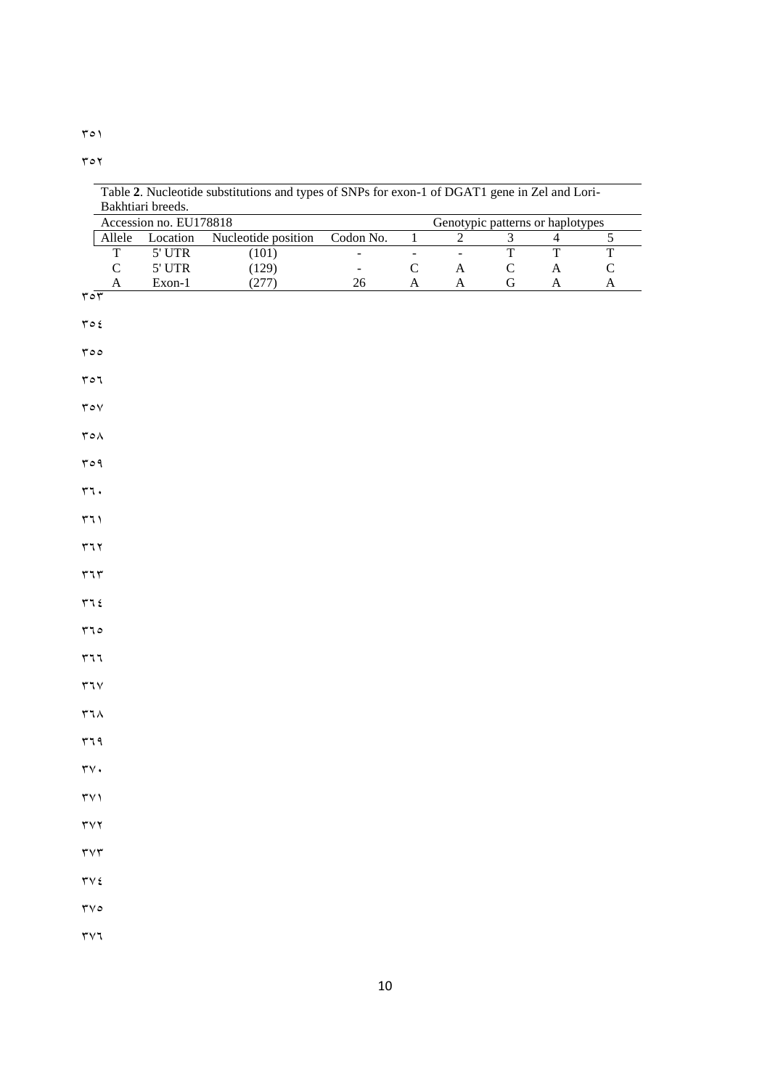$\mathbf{y} \circ \mathbf{y}$ 

|                                           | Accession no. EU178818 |                     |               |                |                       |                         | Genotypic patterns or haplotypes |                         |
|-------------------------------------------|------------------------|---------------------|---------------|----------------|-----------------------|-------------------------|----------------------------------|-------------------------|
| Allele                                    | Location               | Nucleotide position | Codon No.     | $\overline{1}$ | $\overline{2}$        | $\overline{\mathbf{3}}$ | $\overline{4}$                   | $\sqrt{5}$              |
| $\overline{T}$                            | 5' UTR                 | (101)               | $\frac{1}{2}$ | $\Box$         | $\equiv$              | $\overline{T}$          | $\overline{T}$                   | $\overline{\mathrm{T}}$ |
| ${\bf C}$                                 | $5^{\circ}$ UTR        | (129)               | $\Box$        | $\mathsf C$    | $\mathbf A$           | ${\bf C}$               | $\mathbf A$                      | $\mathsf C$             |
| A<br>$\sqrt{2}$                           | Exon-1                 | (277)               | $26\,$        | $\mathbf A$    | $\boldsymbol{\rm{A}}$ | ${\bf G}$               | $\mathbf A$                      | $\boldsymbol{\rm{A}}$   |
|                                           |                        |                     |               |                |                       |                         |                                  |                         |
| $\mathbf{r} \circ \mathbf{f}$             |                        |                     |               |                |                       |                         |                                  |                         |
| roo                                       |                        |                     |               |                |                       |                         |                                  |                         |
|                                           |                        |                     |               |                |                       |                         |                                  |                         |
| ro7                                       |                        |                     |               |                |                       |                         |                                  |                         |
| $\mathop{\Upsilon}\circ\mathop{\vee}$     |                        |                     |               |                |                       |                         |                                  |                         |
|                                           |                        |                     |               |                |                       |                         |                                  |                         |
| $\mathop{\mathsf{r}}\nolimits\circ\wedge$ |                        |                     |               |                |                       |                         |                                  |                         |
| roq                                       |                        |                     |               |                |                       |                         |                                  |                         |
| rr.                                       |                        |                     |               |                |                       |                         |                                  |                         |
|                                           |                        |                     |               |                |                       |                         |                                  |                         |
| 571                                       |                        |                     |               |                |                       |                         |                                  |                         |
| 577                                       |                        |                     |               |                |                       |                         |                                  |                         |
|                                           |                        |                     |               |                |                       |                         |                                  |                         |
| $\mathbf{r}\mathbf{1}\mathbf{r}$          |                        |                     |               |                |                       |                         |                                  |                         |
| 772                                       |                        |                     |               |                |                       |                         |                                  |                         |
| 570                                       |                        |                     |               |                |                       |                         |                                  |                         |
|                                           |                        |                     |               |                |                       |                         |                                  |                         |
| $r\tau\tau$                               |                        |                     |               |                |                       |                         |                                  |                         |
| $\tau\tau\vee$                            |                        |                     |               |                |                       |                         |                                  |                         |
|                                           |                        |                     |               |                |                       |                         |                                  |                         |
| $\tau$ 7 $\land$                          |                        |                     |               |                |                       |                         |                                  |                         |
| r79                                       |                        |                     |               |                |                       |                         |                                  |                         |
| $\mathbf{r}\mathbf{v}$ .                  |                        |                     |               |                |                       |                         |                                  |                         |
|                                           |                        |                     |               |                |                       |                         |                                  |                         |
| $\tau \vee \tau$                          |                        |                     |               |                |                       |                         |                                  |                         |
| $\mathbf{r} \mathbf{v} \mathbf{r}$        |                        |                     |               |                |                       |                         |                                  |                         |
|                                           |                        |                     |               |                |                       |                         |                                  |                         |
| $\mathbf{r}\mathbf{v}\mathbf{r}$          |                        |                     |               |                |                       |                         |                                  |                         |
| $\mathbf{y} \wedge \mathbf{y}$            |                        |                     |               |                |                       |                         |                                  |                         |
| $\mathbf{y} \wedge \mathbf{y}$            |                        |                     |               |                |                       |                         |                                  |                         |
|                                           |                        |                     |               |                |                       |                         |                                  |                         |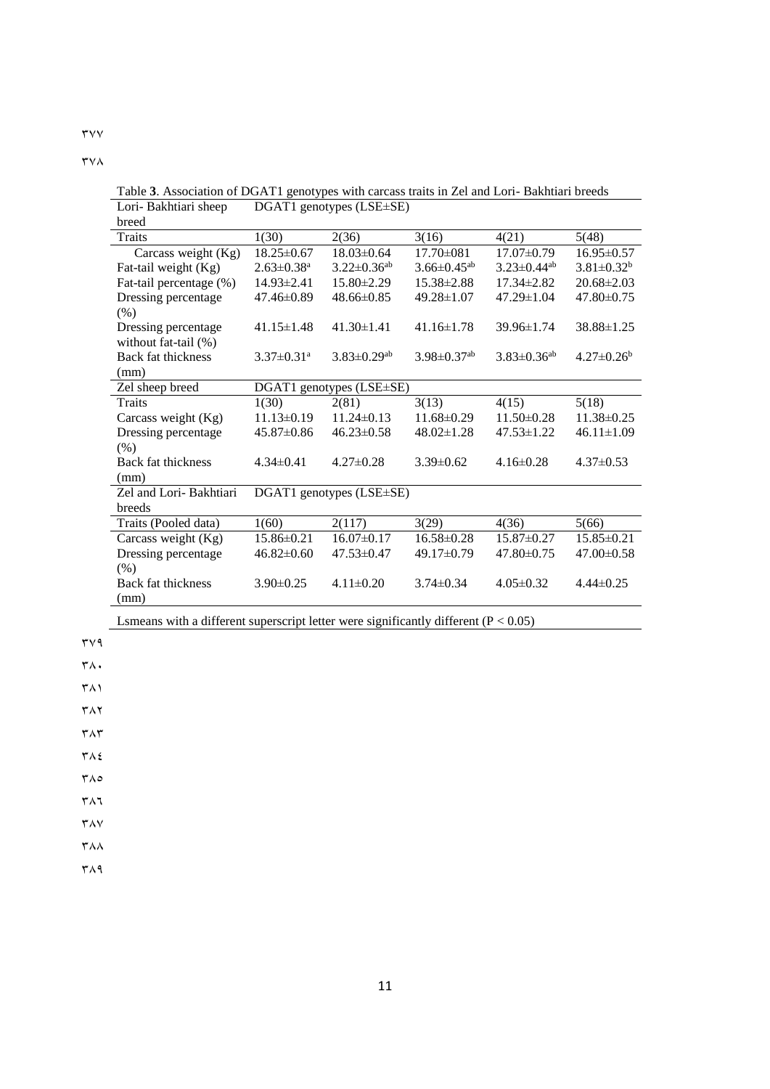$\mathsf{r}\mathsf{v}\mathsf{v}$ 

 $\mathsf{r} \vee \wedge$ 

Lori- Bakhtiari sheep breed DGAT1 genotypes (LSE±SE) Traits 1(30)  $2(36)$   $3(16)$   $4(21)$   $5(48)$ Carcass weight (Kg) 18.25±0.67 18.03±0.64 17.70±081 17.07±0.79 16.95±0.57 Fat-tail weight (Kg)  $2.63\pm0.38^a$   $3.22\pm0.36^{ab}$   $3.66\pm0.45^{ab}$   $3.23\pm0.44^{ab}$   $3.81\pm0.32^b$ Fat-tail percentage (%) 14.93±2.41 15.80±2.29 15.38±2.88 17.34±2.82 20.68±2.03 Dressing percentage (%) 47.46±0.89 48.66±0.85 49.28±1.07 47.29±1.04 47.80±0.75 Dressing percentage without fat-tail  $(\% )$ 41.15±1.48 41.30±1.41 41.16±1.78 39.96±1.74 38.88±1.25 Back fat thickness (mm)  $3.37\pm0.31^a$   $3.83\pm0.29^{ab}$   $3.98\pm0.37^{ab}$   $3.83\pm0.36^{ab}$   $4.27\pm0.26^b$ Zel sheep breed DGAT1 genotypes (LSE±SE) Traits 1(30)  $2(81)$  3(13)  $4(15)$  5(18) Carcass weight (Kg) 11.13±0.19 11.24±0.13 11.68±0.29 11.50±0.28 11.38±0.25 Dressing percentage (%) 45.87±0.86 46.23±0.58 48.02±1.28 47.53±1.22 46.11±1.09 Back fat thickness (mm) 4.34±0.41 4.27±0.28 3.39±0.62 4.16±0.28 4.37±0.53 Zel and Lori- Bakhtiari breeds DGAT1 genotypes (LSE±SE) Traits (Pooled data)  $1(60)$   $2(117)$   $3(29)$   $4(36)$   $5(66)$ Carcass weight (Kg) 15.86±0.21 16.07±0.17 16.58±0.28 15.87±0.27 15.85±0.21 Dressing percentage (%) 46.82±0.60 47.53±0.47 49.17±0.79 47.80±0.75 47.00±0.58 Back fat thickness (mm) 3.90±0.25 4.11±0.20 3.74±0.34 4.05±0.32 4.44±0.25

Lsmeans with a different superscript letter were significantly different  $(P < 0.05)$ 

 $\mathsf{r}\mathsf{v}\mathsf{q}$ 

 $\mathsf{r}\wedge\mathsf{.}$ 

 $\Gamma(\Lambda)$ 

 $\mathsf{r}\wedge\mathsf{r}$ 

 $\mathsf{r}\wedge\mathsf{r}$ 

384

 $\mathsf{r}\wedge\mathsf{o}$ 

 $\tau \wedge \tau$ 

 $\mathsf{r}\wedge\mathsf{v}$ 

 $Y\wedge\wedge$ 

 $\mathsf{r}\wedge\mathsf{q}$ 

|                       | Table 3. Association of DGAT1 genotypes with carcass traits in Zel and Lori-Bakhtiari breeds |
|-----------------------|----------------------------------------------------------------------------------------------|
| Lori- Bakhtiari sheep | $DGAT1$ genotypes ( $LSE \pm SE$ )                                                           |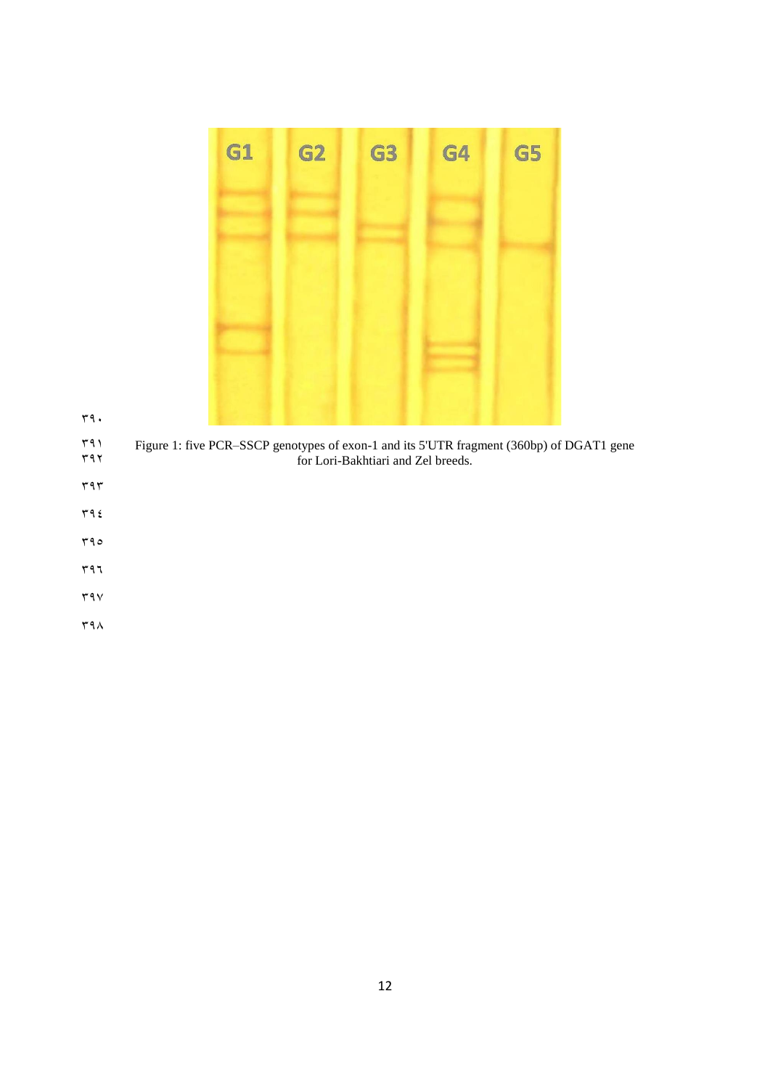| G1 | G2 | G3 | G4 | G5 |
|----|----|----|----|----|
|    |    |    |    |    |
|    |    |    |    |    |
|    |    |    |    |    |
|    |    |    |    |    |
|    |    |    |    |    |
|    |    |    |    |    |

392 for Lori-Bakhtiari and Zel breeds.

- $rr9.$
- $\mathbf{r}$
- $\tau$ 9 $\xi$
- 395

 $597$ 

- $\mathbf{y}$
- 
- $49<sub>A</sub>$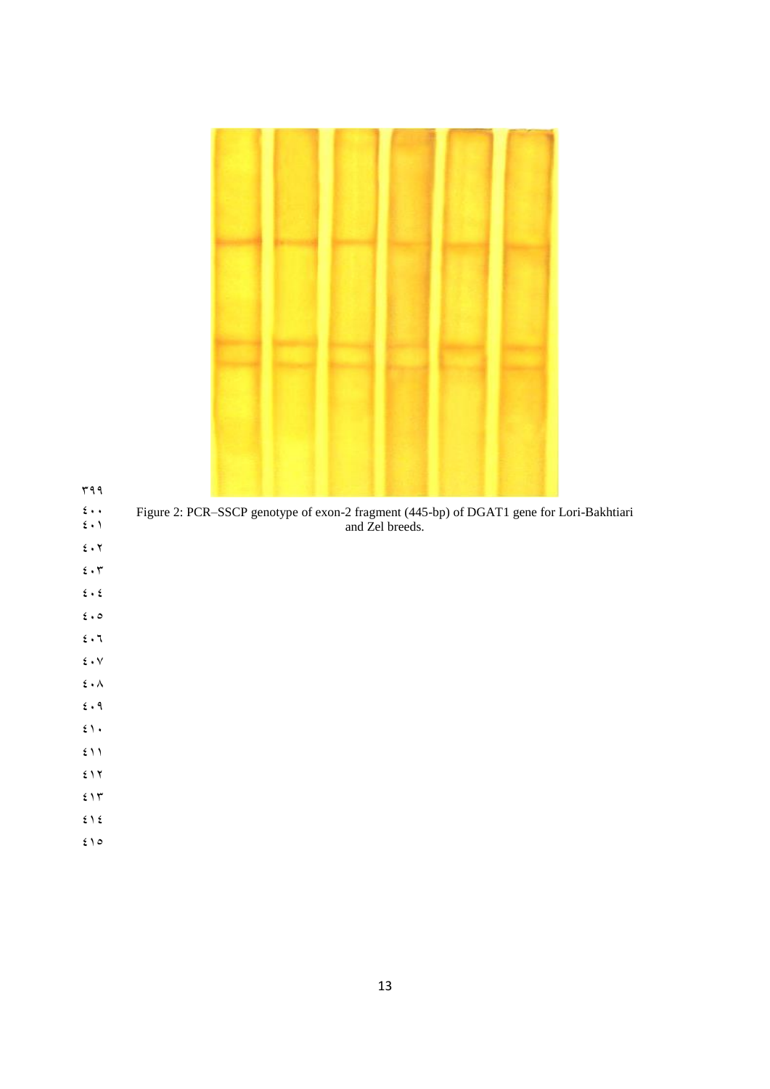$499$ 

400 Figure 2: PCR–SSCP genotype of exon-2 fragment (445-bp) of DGAT1 gene for Lori-Bakhtiari  $\mathfrak{c} \cdot \mathfrak{h}$  and Zel breeds.

- $\epsilon \cdot \tau$
- $\epsilon \cdot \tau$
- $\epsilon \cdot \epsilon$
- $6.0$
- $\epsilon \cdot 7$
- $\epsilon \cdot v$
- $\mathbf{\hat{z}}$  .  $\boldsymbol{\wedge}$
- $6.9$
- $\mathfrak{z}_1$ .
- $\mathfrak{t}$  )  $\mathfrak{t}$
- $517$
- $515$
- $515$
- $510$